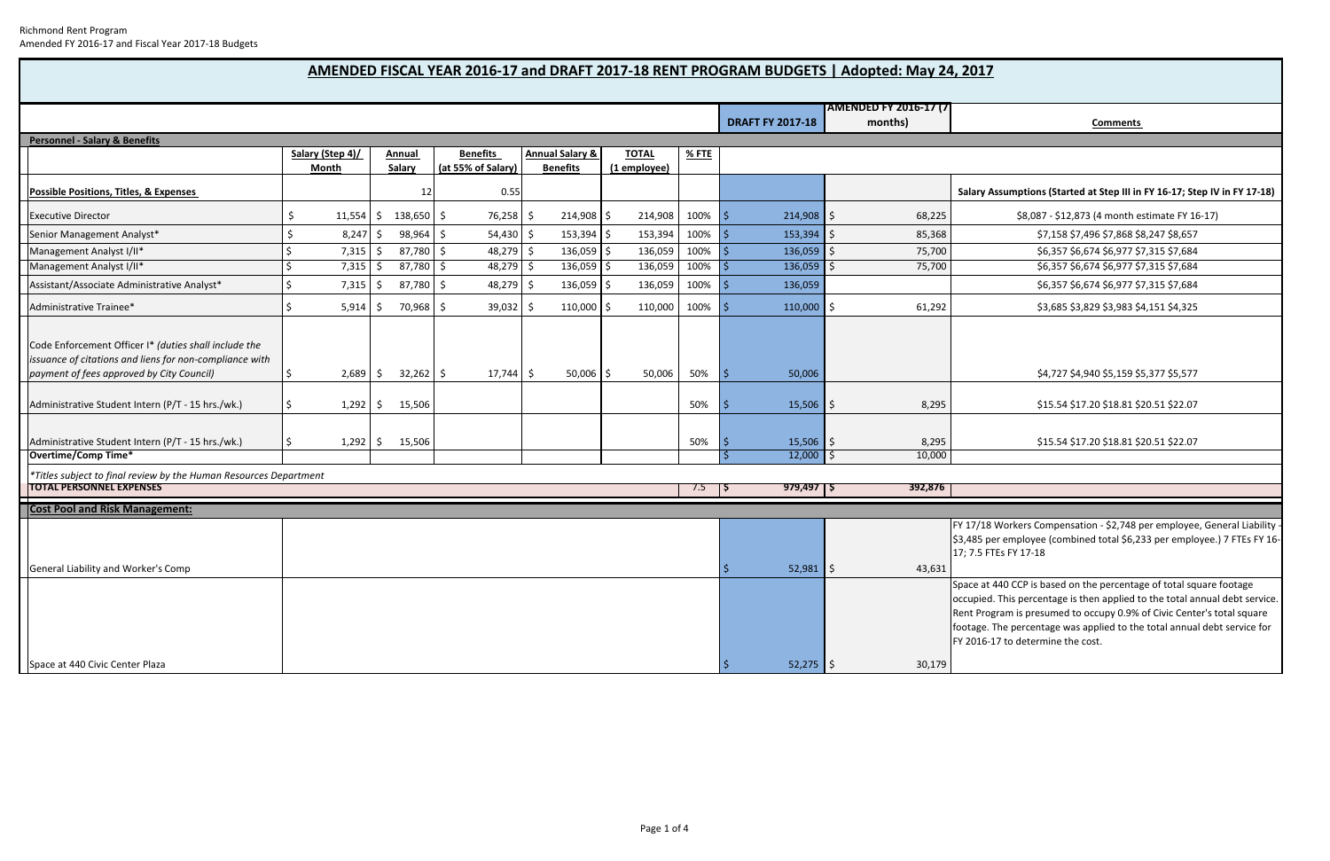7/18 Workers Compensation - \$2,748 per employee, General Liability 85 per employee (combined total \$6,233 per employee.) 7 FTEs FY 16-17; 7.5 FTEs FY 17‐18

e at 440 CCP is based on the percentage of total square footage pied. This percentage is then applied to the total annual debt service. Program is presumed to occupy 0.9% of Civic Center's total square age. The percentage was applied to the total annual debt service for 2016‐17 to determine the cost.

|                                                                                                                                                               |                  |              |               |             |                    |             |                            |                 |              |      |                                            |    | <b>AMENDED FY 2016-17 (7)</b> |                                                    |
|---------------------------------------------------------------------------------------------------------------------------------------------------------------|------------------|--------------|---------------|-------------|--------------------|-------------|----------------------------|-----------------|--------------|------|--------------------------------------------|----|-------------------------------|----------------------------------------------------|
|                                                                                                                                                               |                  |              |               |             |                    |             |                            |                 |              |      | <b>DRAFT FY 2017-18</b>                    |    | months)                       |                                                    |
| <b>Personnel - Salary &amp; Benefits</b>                                                                                                                      |                  |              |               |             |                    |             |                            |                 |              |      |                                            |    |                               |                                                    |
|                                                                                                                                                               | Salary (Step 4)/ |              | <b>Annual</b> |             | <b>Benefits</b>    |             | <b>Annual Salary &amp;</b> |                 | <b>TOTAL</b> | %FTE |                                            |    |                               |                                                    |
|                                                                                                                                                               |                  | <b>Month</b> |               | Salary      | (at 55% of Salary) |             |                            | <b>Benefits</b> | (1 employee) |      |                                            |    |                               |                                                    |
| <b>Possible Positions, Titles, &amp; Expenses</b>                                                                                                             |                  |              |               | 12          |                    | 0.55        |                            |                 |              |      |                                            |    |                               | Sala                                               |
| <b>Executive Director</b>                                                                                                                                     | \$               | 11,554       | \$.           | 138,650 \$  |                    | 76,258      | S                          | 214,908 \$      | 214,908      | 100% | $214,908$ \$<br>۱\$                        |    | 68,225                        |                                                    |
| Senior Management Analyst*                                                                                                                                    | \$               | 8,247        | \$            | 98,964      | \$                 | 54,430      | $\zeta$                    | $153,394$ \$    | 153,394      | 100% | Ś<br>153,394                               | \$ | 85,368                        |                                                    |
| Management Analyst I/II*                                                                                                                                      | \$               | 7,315        | \$            | 87,780      | \$                 | 48,279      | \$                         | $136,059$ \$    | 136,059      | 100% | 136,059<br>Ś                               | \$ | 75,700                        |                                                    |
| Management Analyst I/II*                                                                                                                                      | \$               | 7,315        | \$            | 87,780      | \$                 | 48,279      | \$                         | 136,059 \$      | 136,059      | 100% | Ś<br>136,059                               | \$ | 75,700                        |                                                    |
| Assistant/Associate Administrative Analyst*                                                                                                                   | \$               | 7,315        | \$            | 87,780      | \$                 | 48,279      | \$                         | 136,059 \$      | 136,059      | 100% | $\zeta$<br>136,059                         |    |                               |                                                    |
| Administrative Trainee*                                                                                                                                       | \$               | 5,914        | S             | 70,968 \$   |                    | 39,032      | -S                         | $110,000$ \$    | 110,000      | 100% | $110,000$ \$<br><sub>S</sub>               |    | 61,292                        |                                                    |
| Code Enforcement Officer I* (duties shall include the<br>issuance of citations and liens for non-compliance with<br>payment of fees approved by City Council) | \$               | 2,689        | \$            | $32,262$ \$ |                    | $17,744$ \$ |                            | $50,006$ \$     | 50,006       | 50%  | \$<br>50,006                               |    |                               |                                                    |
| Administrative Student Intern (P/T - 15 hrs./wk.)                                                                                                             | \$               | 1,292        | S             | 15,506      |                    |             |                            |                 |              | 50%  | 15,506<br>S                                | S. | 8,295                         |                                                    |
| Administrative Student Intern (P/T - 15 hrs./wk.)                                                                                                             | \$               | 1,292        | \$            | 15,506      |                    |             |                            |                 |              | 50%  | $15,506$ \$<br>S                           |    | 8,295                         |                                                    |
| Overtime/Comp Time*                                                                                                                                           |                  |              |               |             |                    |             |                            |                 |              |      | $12,000$ \$<br>S                           |    | 10,000                        |                                                    |
| *Titles subject to final review by the Human Resources Department<br><b>TOTAL PERSONNEL EXPENSES</b>                                                          |                  |              |               |             |                    |             |                            |                 |              | 7.5  | $979,497$   \$<br>$\overline{\phantom{0}}$ |    | 392,876                       |                                                    |
|                                                                                                                                                               |                  |              |               |             |                    |             |                            |                 |              |      |                                            |    |                               |                                                    |
| <b>Cost Pool and Risk Management:</b>                                                                                                                         |                  |              |               |             |                    |             |                            |                 |              |      |                                            |    |                               | FY 17                                              |
|                                                                                                                                                               |                  |              |               |             |                    |             |                            |                 |              |      |                                            |    |                               | \$3,48<br>17;7                                     |
| General Liability and Worker's Comp                                                                                                                           |                  |              |               |             |                    |             |                            |                 |              |      | Ŝ<br>$52,981$ \$                           |    | 43,631                        |                                                    |
|                                                                                                                                                               |                  |              |               |             |                    |             |                            |                 |              |      |                                            |    |                               | Space<br>occu<br>Rent<br>foota<br>FY <sub>20</sub> |
| Space at 440 Civic Center Plaza                                                                                                                               |                  |              |               |             |                    |             |                            |                 |              |      | $52,275$ \$                                |    | 30,179                        |                                                    |

*payment of fees approved by City Council)* \$ 2,689 \$ 32,262 \$ 17,744 \$ 50,006 \$ 50,006 50% \$ 50,006 \$4,727 \$4,940 \$5,159 \$5,377 \$5,577

\$ 15.54 \$ 17.20 \$ 18.81 \$ 20.51 \$ 22.07

\$ 15.54 \$ 17.20 \$ 18.81 \$ 20.51 \$ 22.07

# **AMENDED FISCAL YEAR 2016‐17 and DRAFT 2017‐18 RENT PROGRAM BUDGETS | Adopted: May 24, 2017**

### **Comments**

### ary Assumptions (Started at Step III in FY 16-17; Step IV in FY 17-18)

\$ 8,087 - \$12,873 (4 month estimate FY 16-17)

\$ 7,158 \$ 7,496 \$ 7,868 \$ 8,247 \$ 8,657 \$ 6,357 \$ 6,674 \$ 6,977 \$ 7,315 \$ 7,684 \$ 6,357 \$ 6,674 \$ 6,977 \$ 7,315 \$ 7,684

\$ 6,357 \$ 6,674 \$ 6,977 \$ 7,315 \$ 7,684

\$ 3,685 \$ 3,829 \$ 3,983 \$ 4,151 \$ 4,325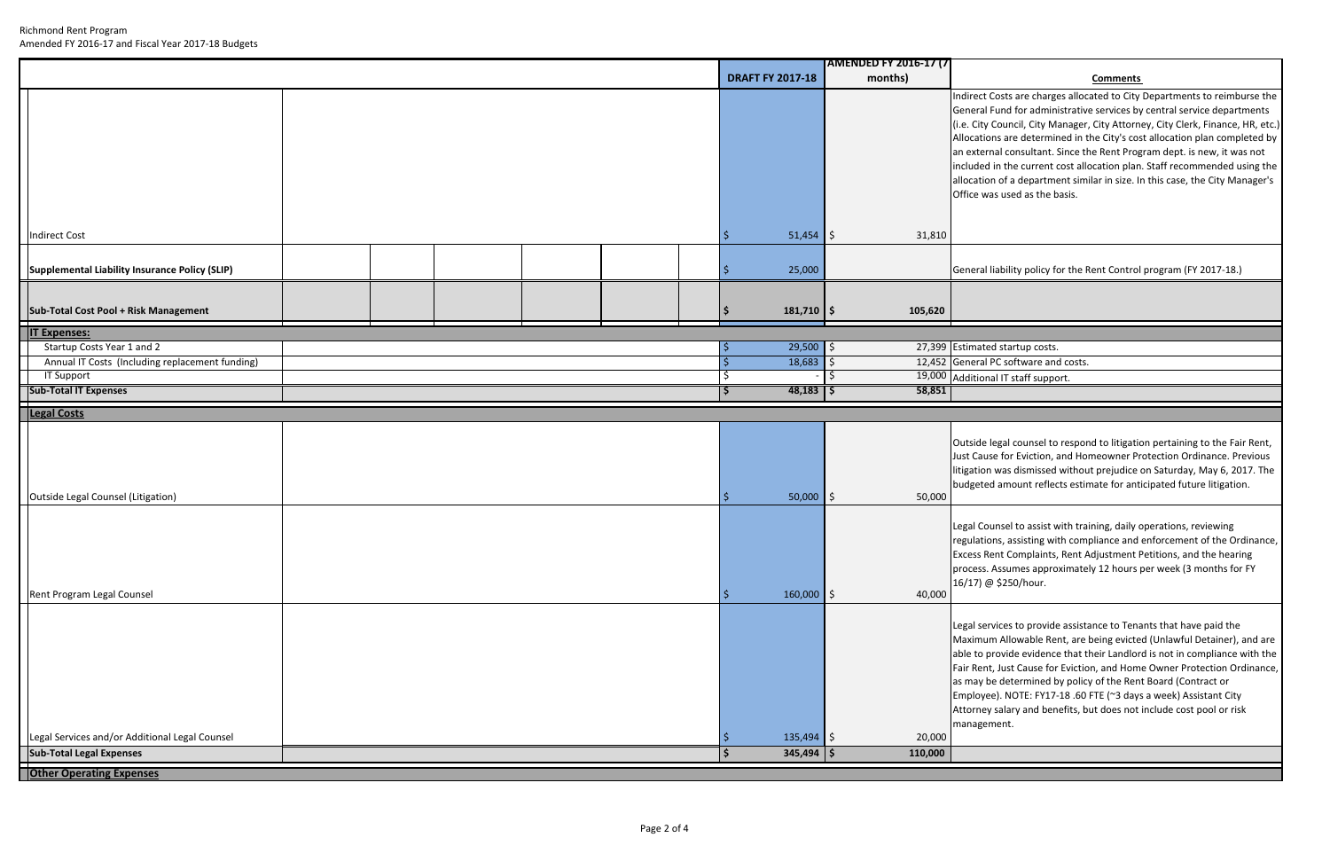### **months) Comments**

Indirect Costs are charges allocated to City Departments to reimburse the General Fund for administrative services by central service departments City Council, City Manager, City Attorney, City Clerk, Finance, HR, etc.) Allocations are determined in the City's cost allocation plan completed by external consultant. Since the Rent Program dept. is new, it was not included in the current cost allocation plan. Staff recommended using the allocation of <sup>a</sup> department similar in size. In this case, the City Manager's Office was used as the basis.

**Bral liability policy for the Rent Control program (FY 2017-18.)** 

eral PC software and costs.

I IT staff support.

Outside legal counsel to respond to litigation pertaining to the Fair Rent, Cause for Eviction, and Homeowner Protection Ordinance. Previous ation was dismissed without prejudice on Saturday, May 6, 2017. The geted amount reflects estimate for anticipated future litigation.

al Counsel to assist with training, daily operations, reviewing alations, assisting with compliance and enforcement of the Ordinance, Excess Rent Complaints, Rent Adjustment Petitions, and the hearing cess. Assumes approximately 12 hours per week (3 months for FY 17) @ \$250/hour.

al services to provide assistance to Tenants that have paid the Maximum Allowable Rent, are being evicted (Unlawful Detainer), and are e to provide evidence that their Landlord is not in compliance with the Rent, Just Cause for Eviction, and Home Owner Protection Ordinance, may be determined by policy of the Rent Board (Contract or bloyee). NOTE: FY17-18 .60 FTE (~3 days a week) Assistant City Intey salary and benefits, but does not include cost pool or risk agement.

|                                                 |  |  |  |                         | <b>AMENDED FY 2016-17 (7)</b> |                                                                                                                                           |
|-------------------------------------------------|--|--|--|-------------------------|-------------------------------|-------------------------------------------------------------------------------------------------------------------------------------------|
|                                                 |  |  |  | <b>DRAFT FY 2017-18</b> | months)                       |                                                                                                                                           |
|                                                 |  |  |  |                         |                               | Indirect Costs are charge<br>General Fund for admin<br>(i.e. City Council, City M                                                         |
|                                                 |  |  |  |                         |                               | Allocations are determi<br>an external consultant.<br>included in the current                                                             |
|                                                 |  |  |  |                         |                               | allocation of a departm<br>Office was used as the b                                                                                       |
| <b>Indirect Cost</b>                            |  |  |  | $51,454$ \$             | 31,810                        |                                                                                                                                           |
| Supplemental Liability Insurance Policy (SLIP)  |  |  |  | 25,000                  |                               | General liability policy fo                                                                                                               |
| Sub-Total Cost Pool + Risk Management           |  |  |  | $181,710$ \$            | 105,620                       |                                                                                                                                           |
| <b>IT Expenses:</b>                             |  |  |  |                         |                               |                                                                                                                                           |
| Startup Costs Year 1 and 2                      |  |  |  | $29,500$ \$<br>-S       |                               | 27,399 Estimated startup costs                                                                                                            |
| Annual IT Costs (Including replacement funding) |  |  |  | $18,683$ \$             |                               | 12,452 General PC software and                                                                                                            |
| IT Support                                      |  |  |  |                         |                               | 19,000 Additional IT staff suppo                                                                                                          |
| <b>Sub-Total IT Expenses</b>                    |  |  |  | $48,183$   \$<br>۱S     | 58,851                        |                                                                                                                                           |
| <b>Legal Costs</b>                              |  |  |  |                         |                               |                                                                                                                                           |
|                                                 |  |  |  |                         |                               | Outside legal counsel to<br>Just Cause for Eviction,<br>litigation was dismissed<br>budgeted amount refled                                |
| Outside Legal Counsel (Litigation)              |  |  |  | $50,000$ \$             | 50,000                        |                                                                                                                                           |
| Rent Program Legal Counsel                      |  |  |  | $160,000$ \$            | 40,000                        | Legal Counsel to assist v<br>regulations, assisting wi<br><b>Excess Rent Complaints</b><br>process. Assumes appro<br>16/17) @ \$250/hour. |
|                                                 |  |  |  |                         |                               |                                                                                                                                           |
|                                                 |  |  |  |                         |                               | Legal services to provide<br>Maximum Allowable Re<br>able to provide evidence                                                             |
|                                                 |  |  |  |                         |                               | Fair Rent, Just Cause for<br>as may be determined b<br>Employee). NOTE: FY17<br>Attorney salary and ben                                   |
|                                                 |  |  |  |                         |                               | management.                                                                                                                               |
| Legal Services and/or Additional Legal Counsel  |  |  |  | $135,494$ \$            | 20,000                        |                                                                                                                                           |
| <b>Sub-Total Legal Expenses</b>                 |  |  |  | $345,494$ \$            | 110,000                       |                                                                                                                                           |
| <b>Other Operating Expenses</b>                 |  |  |  |                         |                               |                                                                                                                                           |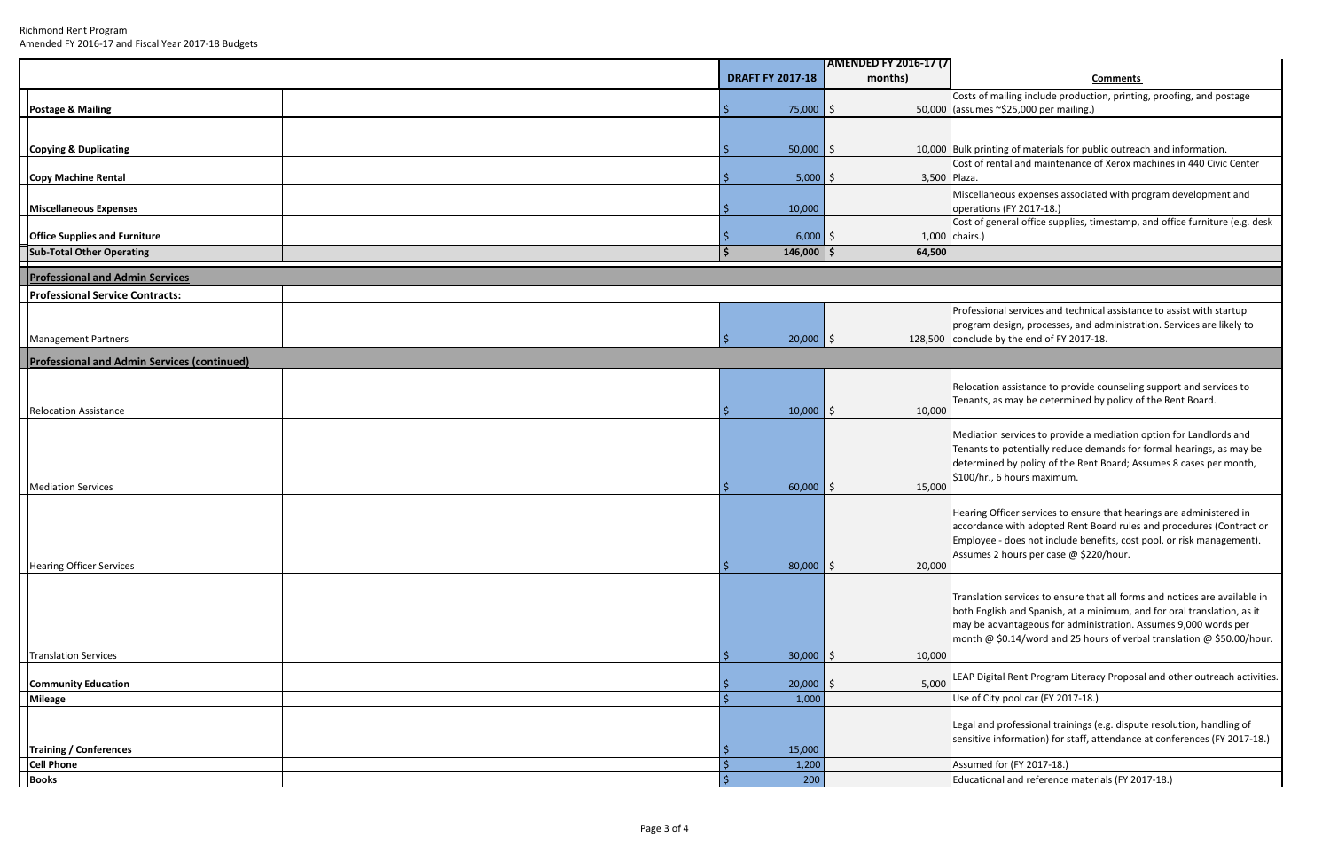Costs of mailing include production, printing, proofing, and postage umes ~\$25,000 per mailing.)

#### **months) Comments**

**printing of materials for public outreach and information.** of rental and maintenance of Xerox machines in 440 Civic Center

Miscellaneous expenses associated with program development and rations (FY 2017-18.)

 of general office supplies, timestamp, and office furniture (e.g. desk rs.)

Relocation assistance to provide counseling support and services to ants, as may be determined by policy of the Rent Board.

Mediation services to provide <sup>a</sup> mediation option for Landlords and Tenants to potentially reduce demands for formal hearings, as may be determined by policy of the Rent Board; Assumes 8 cases per month, 0/hr., 6 hours maximum.

ring Officer services to ensure that hearings are administered in accordance with adopted Rent Board rules and procedures (Contract or bloyee - does not include benefits, cost pool, or risk management). Assumes 2 hours per case @ \$220/hour.

Professional services and technical assistance to assist with startup gram design, processes, and administration. Services are likely to conclude by the end of FY 2017‐18.

al and professional trainings (e.g. dispute resolution, handling of sensitive information) for staff, attendance at conferences (FY 2017‐18.)

cational and reference materials (FY 2017-18.)

|                                                    |                                      | <b>AMENDED FY 2016-17 (7)</b> |                                                         |
|----------------------------------------------------|--------------------------------------|-------------------------------|---------------------------------------------------------|
|                                                    | <b>DRAFT FY 2017-18</b>              | months)                       |                                                         |
|                                                    |                                      |                               | Costs of mailing include pr                             |
| <b>Postage &amp; Mailing</b>                       | 75,000                               | <b>S</b>                      | 50,000 (assumes ~\$25,000 per ma                        |
|                                                    |                                      |                               |                                                         |
|                                                    |                                      |                               |                                                         |
| <b>Copying &amp; Duplicating</b>                   | $50,000$ \$                          |                               | 10,000 Bulk printing of materials                       |
| Copy Machine Rental                                | $5,000$ \$                           | 3,500 Plaza.                  | Cost of rental and mainter                              |
|                                                    |                                      |                               | Miscellaneous expenses a                                |
| <b>Miscellaneous Expenses</b>                      | 10,000                               |                               | operations (FY 2017-18.)                                |
|                                                    |                                      |                               | Cost of general office supp                             |
| <b>Office Supplies and Furniture</b>               | $6,000$ \$                           |                               | 1,000 chairs.)                                          |
| <b>Sub-Total Other Operating</b>                   | $\mathsf{\hat{S}}$<br>$146,000$   \$ | 64,500                        |                                                         |
| <b>Professional and Admin Services</b>             |                                      |                               |                                                         |
| <b>Professional Service Contracts:</b>             |                                      |                               |                                                         |
|                                                    |                                      |                               | Professional services and t                             |
|                                                    |                                      |                               | program design, processes                               |
| <b>Management Partners</b>                         | $20,000$ \$<br>S.                    |                               | 128,500 conclude by the end of FY                       |
| <b>Professional and Admin Services (continued)</b> |                                      |                               |                                                         |
|                                                    |                                      |                               |                                                         |
|                                                    |                                      |                               | Relocation assistance to p                              |
| <b>Relocation Assistance</b>                       | $10,000$ \$                          | 10,000                        | Tenants, as may be deterr                               |
|                                                    |                                      |                               |                                                         |
|                                                    |                                      |                               | Mediation services to prov                              |
|                                                    |                                      |                               | Tenants to potentially red                              |
|                                                    |                                      |                               | determined by policy of th<br>\$100/hr., 6 hours maximu |
| <b>Mediation Services</b>                          | $60,000$ \$                          | 15,000                        |                                                         |
|                                                    |                                      |                               |                                                         |
|                                                    |                                      |                               | Hearing Officer services to<br>accordance with adopted  |
|                                                    |                                      |                               | Employee - does not inclu                               |
|                                                    |                                      |                               | Assumes 2 hours per case                                |
| <b>Hearing Officer Services</b>                    | $80,000$ \$<br>$\ddot{\bm{\zeta}}$   | 20,000                        |                                                         |
|                                                    |                                      |                               |                                                         |
|                                                    |                                      |                               | Translation services to ens                             |
|                                                    |                                      |                               | both English and Spanish,                               |
|                                                    |                                      |                               | may be advantageous for<br>month @ \$0.14/word and      |
|                                                    |                                      |                               |                                                         |
| <b>Translation Services</b>                        | $30,000$ \$<br>-\$                   | 10,000                        |                                                         |
| <b>Community Education</b>                         | 20,000                               | 5,000                         | LEAP Digital Rent Program                               |
| Mileage                                            | $\zeta$<br>1,000                     |                               | Use of City pool car (FY 20                             |
|                                                    |                                      |                               |                                                         |
|                                                    |                                      |                               | Legal and professional tra                              |
| <b>Training / Conferences</b>                      | 15,000                               |                               | sensitive information) for                              |
| <b>Cell Phone</b>                                  | $\frac{1}{2}$<br>1,200               |                               | Assumed for (FY 2017-18.)                               |
| <b>Books</b>                                       | $\zeta$<br>200                       |                               | Educational and reference                               |

Translation services to ensure that all forms and notices are available in English and Spanish, at <sup>a</sup> minimum, and for oral translation, as it be advantageous for administration. Assumes 9,000 words per month @ \$0.14/word and 25 hours of verbal translation @ \$50.00/hour.

**Digital Rent Program Literacy Proposal and other outreach activities.** 

of City pool car (FY 2017-18.)